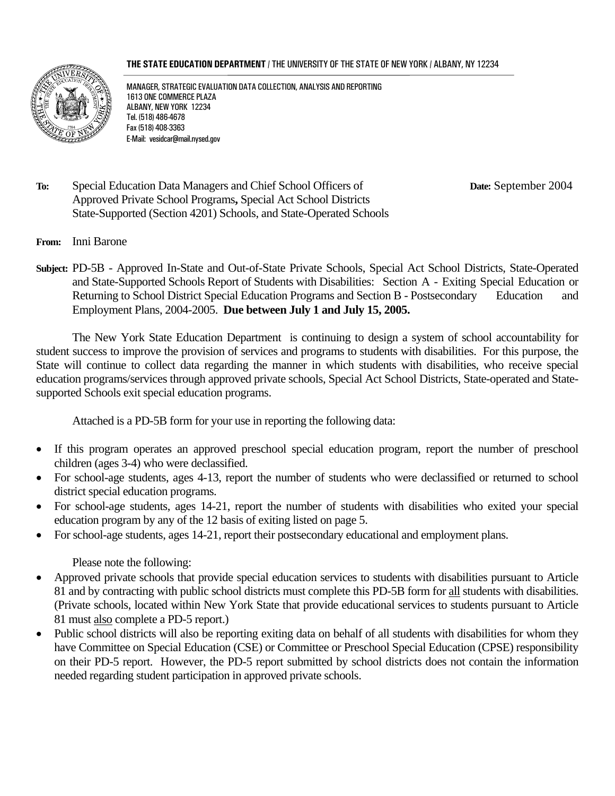#### **THE STATE EDUCATION DEPARTMENT** / THE UNIVERSITY OF THE STATE OF NEW YORK / ALBANY, NY 12234



MANAGER, STRATEGIC EVALUATION DATA COLLECTION, ANALYSIS AND REPORTING 1613 ONE COMMERCE PLAZA ALBANY, NEW YORK 12234 Tel. (518) 486-4678 Fax (518) 408-3363 E-Mail: vesidcar@mail.nysed.gov

**To:** Special Education Data Managers and Chief School Officers of **Date:** September 2004 Approved Private School Programs**,** Special Act School Districts State-Supported (Section 4201) Schools, and State-Operated Schools

- **From:** Inni Barone
- **Subject:** PD-5B Approved In-State and Out-of-State Private Schools, Special Act School Districts, State-Operated and State-Supported Schools Report of Students with Disabilities: Section A - Exiting Special Education or Returning to School District Special Education Programs and Section B - Postsecondary Education and Employment Plans, 2004-2005. **Due between July 1 and July 15, 2005.**

 The New York State Education Department is continuing to design a system of school accountability for student success to improve the provision of services and programs to students with disabilities. For this purpose, the State will continue to collect data regarding the manner in which students with disabilities, who receive special education programs/services through approved private schools, Special Act School Districts, State-operated and Statesupported Schools exit special education programs.

Attached is a PD-5B form for your use in reporting the following data:

- If this program operates an approved preschool special education program, report the number of preschool children (ages 3-4) who were declassified.
- For school-age students, ages 4-13, report the number of students who were declassified or returned to school district special education programs.
- For school-age students, ages 14-21, report the number of students with disabilities who exited your special education program by any of the 12 basis of exiting listed on page 5.
- For school-age students, ages 14-21, report their postsecondary educational and employment plans.

Please note the following:

- Approved private schools that provide special education services to students with disabilities pursuant to Article 81 and by contracting with public school districts must complete this PD-5B form for all students with disabilities. (Private schools, located within New York State that provide educational services to students pursuant to Article 81 must also complete a PD-5 report.)
- Public school districts will also be reporting exiting data on behalf of all students with disabilities for whom they have Committee on Special Education (CSE) or Committee or Preschool Special Education (CPSE) responsibility on their PD-5 report. However, the PD-5 report submitted by school districts does not contain the information needed regarding student participation in approved private schools.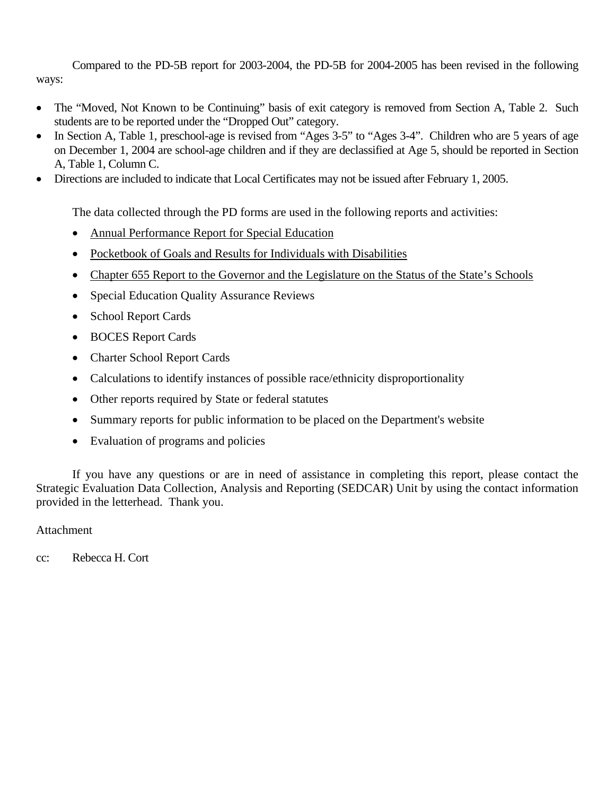Compared to the PD-5B report for 2003-2004, the PD-5B for 2004-2005 has been revised in the following ways:

- The "Moved, Not Known to be Continuing" basis of exit category is removed from Section A, Table 2. Such students are to be reported under the "Dropped Out" category.
- In Section A, Table 1, preschool-age is revised from "Ages 3-5" to "Ages 3-4". Children who are 5 years of age on December 1, 2004 are school-age children and if they are declassified at Age 5, should be reported in Section A, Table 1, Column C.
- Directions are included to indicate that Local Certificates may not be issued after February 1, 2005.

The data collected through the PD forms are used in the following reports and activities:

- Annual Performance Report for Special Education
- Pocketbook of Goals and Results for Individuals with Disabilities
- Chapter 655 Report to the Governor and the Legislature on the Status of the State's Schools
- Special Education Quality Assurance Reviews
- School Report Cards
- BOCES Report Cards
- Charter School Report Cards
- Calculations to identify instances of possible race/ethnicity disproportionality
- Other reports required by State or federal statutes
- Summary reports for public information to be placed on the Department's website
- Evaluation of programs and policies

 If you have any questions or are in need of assistance in completing this report, please contact the Strategic Evaluation Data Collection, Analysis and Reporting (SEDCAR) Unit by using the contact information provided in the letterhead. Thank you.

### Attachment

cc: Rebecca H. Cort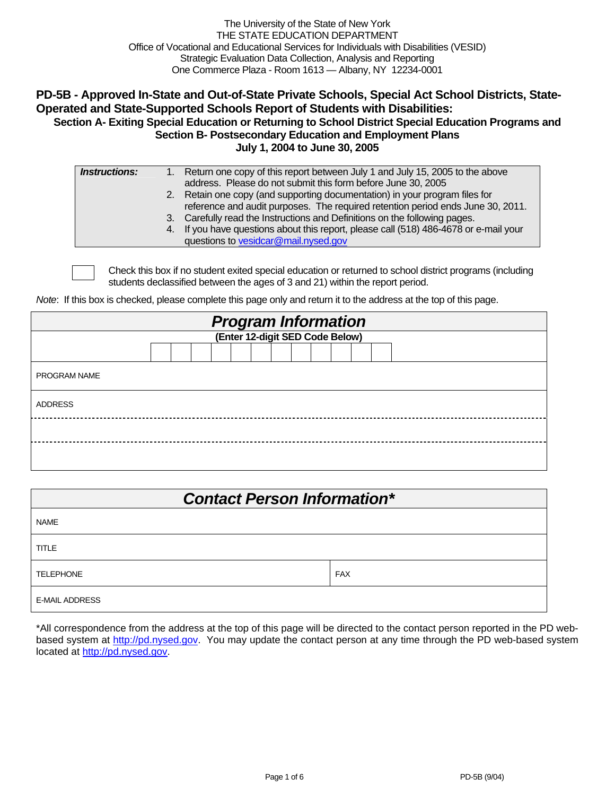The University of the State of New York THE STATE EDUCATION DEPARTMENT Office of Vocational and Educational Services for Individuals with Disabilities (VESID) Strategic Evaluation Data Collection, Analysis and Reporting One Commerce Plaza - Room 1613 — Albany, NY 12234-0001

#### **PD-5B - Approved In-State and Out-of-State Private Schools, Special Act School Districts, State-Operated and State-Supported Schools Report of Students with Disabilities: Section A- Exiting Special Education or Returning to School District Special Education Programs and Section B- Postsecondary Education and Employment Plans**

**July 1, 2004 to June 30, 2005** 

| <i><b>Instructions:</b></i> | 1. Return one copy of this report between July 1 and July 15, 2005 to the above       |
|-----------------------------|---------------------------------------------------------------------------------------|
|                             | address. Please do not submit this form before June 30, 2005                          |
|                             | 2. Retain one copy (and supporting documentation) in your program files for           |
|                             | reference and audit purposes. The required retention period ends June 30, 2011.       |
|                             | 3. Carefully read the Instructions and Definitions on the following pages.            |
|                             | 4. If you have questions about this report, please call (518) 486-4678 or e-mail your |
|                             | questions to vesidcar@mail.nysed.gov                                                  |

Check this box if no student exited special education or returned to school district programs (including students declassified between the ages of 3 and 21) within the report period.

*Note*: If this box is checked, please complete this page only and return it to the address at the top of this page.

| <b>Program Information</b><br>(Enter 12-digit SED Code Below) |  |  |  |  |  |  |  |  |  |  |  |  |  |
|---------------------------------------------------------------|--|--|--|--|--|--|--|--|--|--|--|--|--|
|                                                               |  |  |  |  |  |  |  |  |  |  |  |  |  |
|                                                               |  |  |  |  |  |  |  |  |  |  |  |  |  |
| <b>PROGRAM NAME</b>                                           |  |  |  |  |  |  |  |  |  |  |  |  |  |
| <b>ADDRESS</b>                                                |  |  |  |  |  |  |  |  |  |  |  |  |  |
|                                                               |  |  |  |  |  |  |  |  |  |  |  |  |  |
|                                                               |  |  |  |  |  |  |  |  |  |  |  |  |  |

| <b>Contact Person Information*</b> |            |  |  |  |  |  |  |  |  |
|------------------------------------|------------|--|--|--|--|--|--|--|--|
| <b>NAME</b>                        |            |  |  |  |  |  |  |  |  |
| <b>TITLE</b>                       |            |  |  |  |  |  |  |  |  |
| <b>TELEPHONE</b>                   | <b>FAX</b> |  |  |  |  |  |  |  |  |
| <b>E-MAIL ADDRESS</b>              |            |  |  |  |  |  |  |  |  |

\*All correspondence from the address at the top of this page will be directed to the contact person reported in the PD webbased system at http://pd.nysed.gov. You may update the contact person at any time through the PD web-based system located at http://pd.nysed.gov.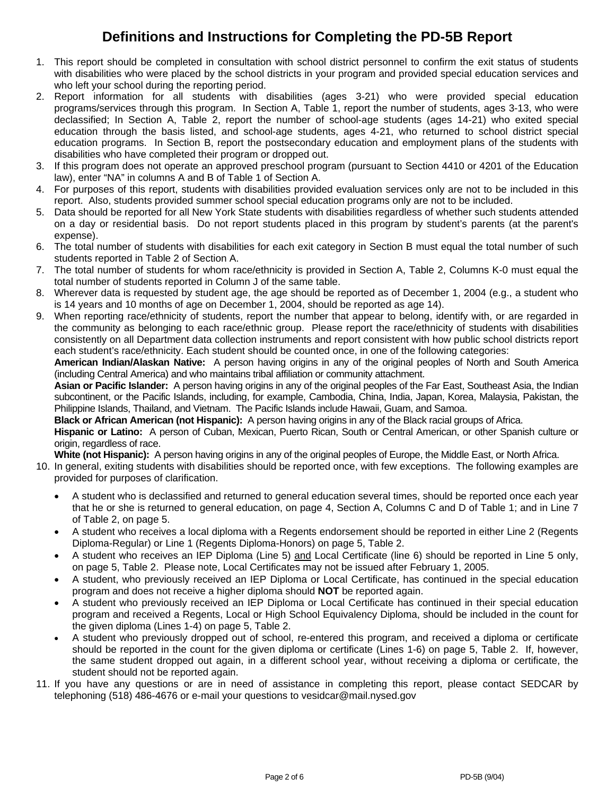## **Definitions and Instructions for Completing the PD-5B Report**

- 1. This report should be completed in consultation with school district personnel to confirm the exit status of students with disabilities who were placed by the school districts in your program and provided special education services and who left your school during the reporting period.
- 2. Report information for all students with disabilities (ages 3-21) who were provided special education programs/services through this program. In Section A, Table 1, report the number of students, ages 3-13, who were declassified; In Section A, Table 2, report the number of school-age students (ages 14-21) who exited special education through the basis listed, and school-age students, ages 4-21, who returned to school district special education programs. In Section B, report the postsecondary education and employment plans of the students with disabilities who have completed their program or dropped out.
- 3. If this program does not operate an approved preschool program (pursuant to Section 4410 or 4201 of the Education law), enter "NA" in columns A and B of Table 1 of Section A.
- 4. For purposes of this report, students with disabilities provided evaluation services only are not to be included in this report. Also, students provided summer school special education programs only are not to be included.
- 5. Data should be reported for all New York State students with disabilities regardless of whether such students attended on a day or residential basis. Do not report students placed in this program by student's parents (at the parent's expense).
- 6. The total number of students with disabilities for each exit category in Section B must equal the total number of such students reported in Table 2 of Section A.
- 7. The total number of students for whom race/ethnicity is provided in Section A, Table 2, Columns K-0 must equal the total number of students reported in Column J of the same table.
- 8. Wherever data is requested by student age, the age should be reported as of December 1, 2004 (e.g., a student who is 14 years and 10 months of age on December 1, 2004, should be reported as age 14).
- 9. When reporting race/ethnicity of students, report the number that appear to belong, identify with, or are regarded in the community as belonging to each race/ethnic group. Please report the race/ethnicity of students with disabilities consistently on all Department data collection instruments and report consistent with how public school districts report each student's race/ethnicity. Each student should be counted once, in one of the following categories:

**American Indian/Alaskan Native:** A person having origins in any of the original peoples of North and South America (including Central America) and who maintains tribal affiliation or community attachment.

**Asian or Pacific Islander:** A person having origins in any of the original peoples of the Far East, Southeast Asia, the Indian subcontinent, or the Pacific Islands, including, for example, Cambodia, China, India, Japan, Korea, Malaysia, Pakistan, the Philippine Islands, Thailand, and Vietnam. The Pacific Islands include Hawaii, Guam, and Samoa.

**Black or African American (not Hispanic):** A person having origins in any of the Black racial groups of Africa.

**Hispanic or Latino:** A person of Cuban, Mexican, Puerto Rican, South or Central American, or other Spanish culture or origin, regardless of race.

**White (not Hispanic):** A person having origins in any of the original peoples of Europe, the Middle East, or North Africa.

- 10. In general, exiting students with disabilities should be reported once, with few exceptions. The following examples are provided for purposes of clarification.
	- A student who is declassified and returned to general education several times, should be reported once each year that he or she is returned to general education, on page 4, Section A, Columns C and D of Table 1; and in Line 7 of Table 2, on page 5.
	- A student who receives a local diploma with a Regents endorsement should be reported in either Line 2 (Regents Diploma-Regular) or Line 1 (Regents Diploma-Honors) on page 5, Table 2.
	- A student who receives an IEP Diploma (Line 5) and Local Certificate (line 6) should be reported in Line 5 only, on page 5, Table 2. Please note, Local Certificates may not be issued after February 1, 2005.
	- A student, who previously received an IEP Diploma or Local Certificate, has continued in the special education program and does not receive a higher diploma should **NOT** be reported again.
	- A student who previously received an IEP Diploma or Local Certificate has continued in their special education program and received a Regents, Local or High School Equivalency Diploma, should be included in the count for the given diploma (Lines 1-4) on page 5, Table 2.
	- A student who previously dropped out of school, re-entered this program, and received a diploma or certificate should be reported in the count for the given diploma or certificate (Lines 1-6) on page 5, Table 2. If, however, the same student dropped out again, in a different school year, without receiving a diploma or certificate, the student should not be reported again.
- 11. If you have any questions or are in need of assistance in completing this report, please contact SEDCAR by telephoning (518) 486-4676 or e-mail your questions to vesidcar@mail.nysed.gov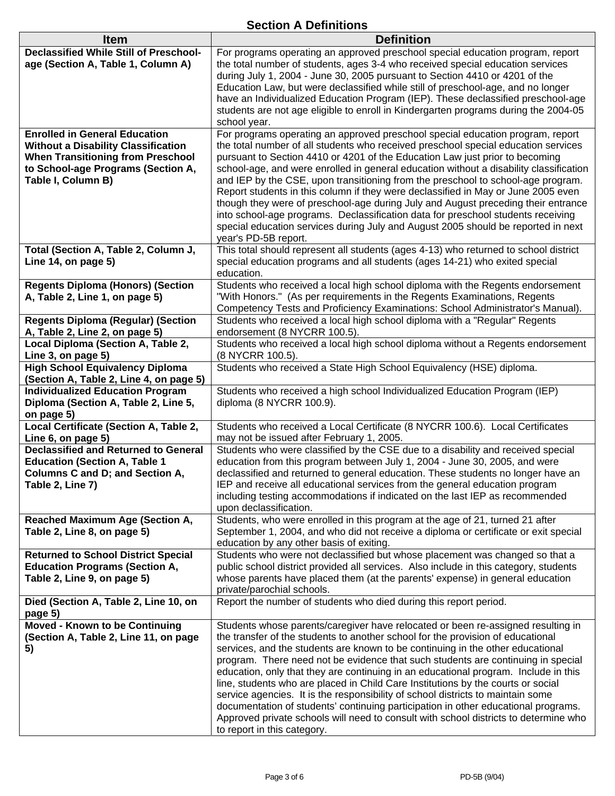### **Section A Definitions**

| <b>Item</b>                                                                         | <b>Definition</b>                                                                                                                                                          |
|-------------------------------------------------------------------------------------|----------------------------------------------------------------------------------------------------------------------------------------------------------------------------|
| <b>Declassified While Still of Preschool-</b><br>age (Section A, Table 1, Column A) | For programs operating an approved preschool special education program, report<br>the total number of students, ages 3-4 who received special education services           |
|                                                                                     | during July 1, 2004 - June 30, 2005 pursuant to Section 4410 or 4201 of the                                                                                                |
|                                                                                     | Education Law, but were declassified while still of preschool-age, and no longer                                                                                           |
|                                                                                     | have an Individualized Education Program (IEP). These declassified preschool-age                                                                                           |
|                                                                                     | students are not age eligible to enroll in Kindergarten programs during the 2004-05<br>school year.                                                                        |
| <b>Enrolled in General Education</b>                                                | For programs operating an approved preschool special education program, report                                                                                             |
| <b>Without a Disability Classification</b>                                          | the total number of all students who received preschool special education services                                                                                         |
| <b>When Transitioning from Preschool</b><br>to School-age Programs (Section A,      | pursuant to Section 4410 or 4201 of the Education Law just prior to becoming<br>school-age, and were enrolled in general education without a disability classification     |
| Table I, Column B)                                                                  | and IEP by the CSE, upon transitioning from the preschool to school-age program.                                                                                           |
|                                                                                     | Report students in this column if they were declassified in May or June 2005 even                                                                                          |
|                                                                                     | though they were of preschool-age during July and August preceding their entrance                                                                                          |
|                                                                                     | into school-age programs. Declassification data for preschool students receiving                                                                                           |
|                                                                                     | special education services during July and August 2005 should be reported in next<br>year's PD-5B report.                                                                  |
| Total (Section A, Table 2, Column J,                                                | This total should represent all students (ages 4-13) who returned to school district                                                                                       |
| Line 14, on page 5)                                                                 | special education programs and all students (ages 14-21) who exited special                                                                                                |
|                                                                                     | education.                                                                                                                                                                 |
| <b>Regents Diploma (Honors) (Section</b><br>A, Table 2, Line 1, on page 5)          | Students who received a local high school diploma with the Regents endorsement<br>"With Honors." (As per requirements in the Regents Examinations, Regents                 |
|                                                                                     | Competency Tests and Proficiency Examinations: School Administrator's Manual).                                                                                             |
| <b>Regents Diploma (Regular) (Section</b>                                           | Students who received a local high school diploma with a "Regular" Regents                                                                                                 |
| A, Table 2, Line 2, on page 5)                                                      | endorsement (8 NYCRR 100.5).                                                                                                                                               |
| Local Diploma (Section A, Table 2,<br>Line 3, on page 5)                            | Students who received a local high school diploma without a Regents endorsement<br>(8 NYCRR 100.5).                                                                        |
| <b>High School Equivalency Diploma</b>                                              | Students who received a State High School Equivalency (HSE) diploma.                                                                                                       |
| (Section A, Table 2, Line 4, on page 5)                                             |                                                                                                                                                                            |
| <b>Individualized Education Program</b>                                             | Students who received a high school Individualized Education Program (IEP)                                                                                                 |
| Diploma (Section A, Table 2, Line 5,<br>on page 5)                                  | diploma (8 NYCRR 100.9).                                                                                                                                                   |
| Local Certificate (Section A, Table 2,                                              | Students who received a Local Certificate (8 NYCRR 100.6). Local Certificates                                                                                              |
| Line 6, on page 5)                                                                  | may not be issued after February 1, 2005.                                                                                                                                  |
| <b>Declassified and Returned to General</b>                                         | Students who were classified by the CSE due to a disability and received special                                                                                           |
| <b>Education (Section A, Table 1</b><br><b>Columns C and D; and Section A,</b>      | education from this program between July 1, 2004 - June 30, 2005, and were<br>declassified and returned to general education. These students no longer have an             |
| Table 2, Line 7)                                                                    | IEP and receive all educational services from the general education program                                                                                                |
|                                                                                     | including testing accommodations if indicated on the last IEP as recommended                                                                                               |
|                                                                                     | upon declassification.                                                                                                                                                     |
| <b>Reached Maximum Age (Section A,</b><br>Table 2, Line 8, on page 5)               | Students, who were enrolled in this program at the age of 21, turned 21 after<br>September 1, 2004, and who did not receive a diploma or certificate or exit special       |
|                                                                                     | education by any other basis of exiting.                                                                                                                                   |
| <b>Returned to School District Special</b>                                          | Students who were not declassified but whose placement was changed so that a                                                                                               |
| <b>Education Programs (Section A,</b>                                               | public school district provided all services. Also include in this category, students                                                                                      |
| Table 2, Line 9, on page 5)                                                         | whose parents have placed them (at the parents' expense) in general education<br>private/parochial schools.                                                                |
| Died (Section A, Table 2, Line 10, on                                               | Report the number of students who died during this report period.                                                                                                          |
| page 5)                                                                             |                                                                                                                                                                            |
| <b>Moved - Known to be Continuing</b>                                               | Students whose parents/caregiver have relocated or been re-assigned resulting in                                                                                           |
| (Section A, Table 2, Line 11, on page<br>5)                                         | the transfer of the students to another school for the provision of educational<br>services, and the students are known to be continuing in the other educational          |
|                                                                                     | program. There need not be evidence that such students are continuing in special                                                                                           |
|                                                                                     | education, only that they are continuing in an educational program. Include in this                                                                                        |
|                                                                                     | line, students who are placed in Child Care Institutions by the courts or social                                                                                           |
|                                                                                     | service agencies. It is the responsibility of school districts to maintain some                                                                                            |
|                                                                                     | documentation of students' continuing participation in other educational programs.<br>Approved private schools will need to consult with school districts to determine who |
|                                                                                     | to report in this category.                                                                                                                                                |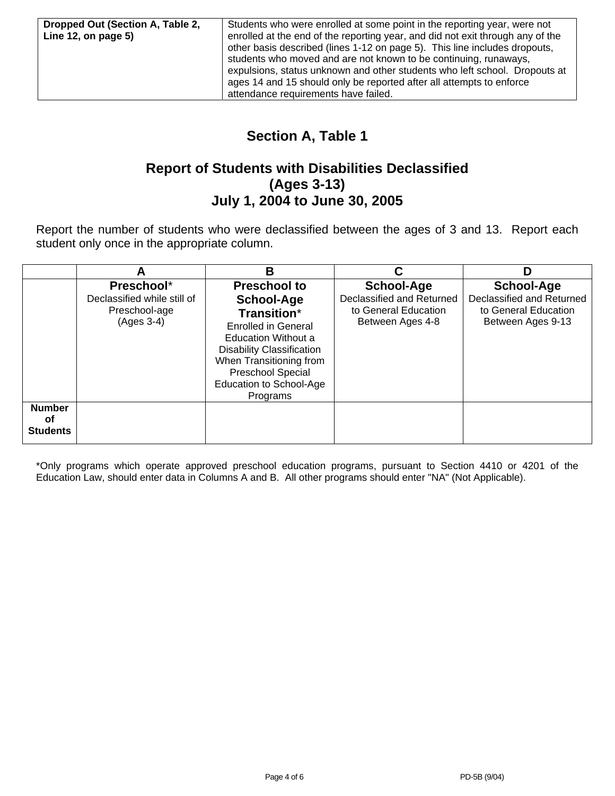## **Section A, Table 1**

### **Report of Students with Disabilities Declassified (Ages 3-13) July 1, 2004 to June 30, 2005**

Report the number of students who were declassified between the ages of 3 and 13. Report each student only once in the appropriate column.

|                                        | A                                                                        | В                                                                                                                                                                                                                                                     |                                                                                     | D                                                                                           |
|----------------------------------------|--------------------------------------------------------------------------|-------------------------------------------------------------------------------------------------------------------------------------------------------------------------------------------------------------------------------------------------------|-------------------------------------------------------------------------------------|---------------------------------------------------------------------------------------------|
|                                        | Preschool*<br>Declassified while still of<br>Preschool-age<br>(Ages 3-4) | <b>Preschool to</b><br><b>School-Age</b><br>Transition*<br><b>Enrolled in General</b><br><b>Education Without a</b><br><b>Disability Classification</b><br>When Transitioning from<br><b>Preschool Special</b><br>Education to School-Age<br>Programs | School-Age<br>Declassified and Returned<br>to General Education<br>Between Ages 4-8 | <b>School-Age</b><br>Declassified and Returned<br>to General Education<br>Between Ages 9-13 |
| <b>Number</b><br>оf<br><b>Students</b> |                                                                          |                                                                                                                                                                                                                                                       |                                                                                     |                                                                                             |

\*Only programs which operate approved preschool education programs, pursuant to Section 4410 or 4201 of the Education Law, should enter data in Columns A and B. All other programs should enter "NA" (Not Applicable).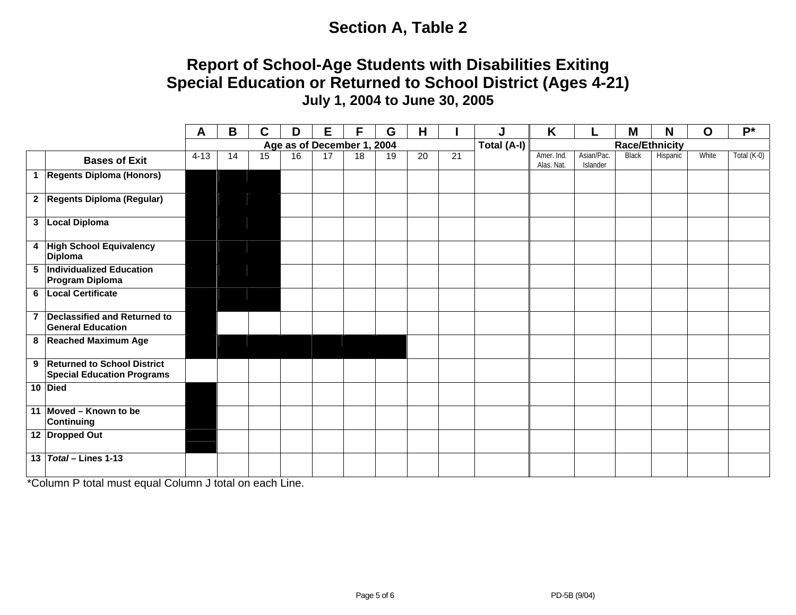# **Section A, Table 2**

## **Report of School-Age Students with Disabilities Exiting Special Education or Returned to School District (Ages 4-21) July 1, 2004 to June 30, 2005**

|                 |                                                                    | A                          | B  | C  | D  | E  | F  | G  | H  |             | J                     | K                        |                        | M            | N        | $\mathbf O$ | $P^*$       |
|-----------------|--------------------------------------------------------------------|----------------------------|----|----|----|----|----|----|----|-------------|-----------------------|--------------------------|------------------------|--------------|----------|-------------|-------------|
|                 |                                                                    | Age as of December 1, 2004 |    |    |    |    |    |    |    | Total (A-I) | <b>Race/Ethnicity</b> |                          |                        |              |          |             |             |
|                 | <b>Bases of Exit</b>                                               | $4 - 13$                   | 14 | 15 | 16 | 17 | 18 | 19 | 20 | 21          |                       | Amer. Ind.<br>Alas. Nat. | Asian/Pac.<br>Islander | <b>Black</b> | Hispanic | White       | Total (K-0) |
|                 | 1 Regents Diploma (Honors)                                         |                            |    |    |    |    |    |    |    |             |                       |                          |                        |              |          |             |             |
|                 | 2 Regents Diploma (Regular)                                        |                            |    |    |    |    |    |    |    |             |                       |                          |                        |              |          |             |             |
|                 | 3   Local Diploma                                                  |                            |    |    |    |    |    |    |    |             |                       |                          |                        |              |          |             |             |
|                 | 4 High School Equivalency<br><b>Diploma</b>                        |                            |    |    |    |    |    |    |    |             |                       |                          |                        |              |          |             |             |
|                 | 5 Individualized Education<br><b>Program Diploma</b>               |                            |    |    |    |    |    |    |    |             |                       |                          |                        |              |          |             |             |
|                 | 6 Local Certificate                                                |                            |    |    |    |    |    |    |    |             |                       |                          |                        |              |          |             |             |
| $\overline{7}$  | Declassified and Returned to<br><b>General Education</b>           |                            |    |    |    |    |    |    |    |             |                       |                          |                        |              |          |             |             |
|                 | 8 Reached Maximum Age                                              |                            |    |    |    |    |    |    |    |             |                       |                          |                        |              |          |             |             |
|                 | 9 Returned to School District<br><b>Special Education Programs</b> |                            |    |    |    |    |    |    |    |             |                       |                          |                        |              |          |             |             |
|                 | 10 Died                                                            |                            |    |    |    |    |    |    |    |             |                       |                          |                        |              |          |             |             |
|                 | 11 Moved - Known to be<br><b>Continuing</b>                        |                            |    |    |    |    |    |    |    |             |                       |                          |                        |              |          |             |             |
|                 | 12 Dropped Out                                                     |                            |    |    |    |    |    |    |    |             |                       |                          |                        |              |          |             |             |
| 13 <sup>1</sup> | Total - Lines 1-13                                                 |                            |    |    |    |    |    |    |    |             |                       |                          |                        |              |          |             |             |

\*Column P total must equal Column J total on each Line.